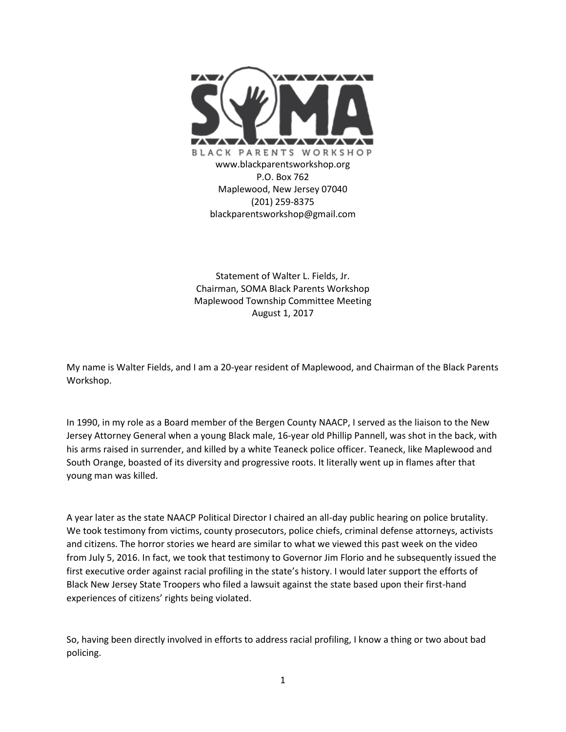

Statement of Walter L. Fields, Jr. Chairman, SOMA Black Parents Workshop Maplewood Township Committee Meeting August 1, 2017

My name is Walter Fields, and I am a 20-year resident of Maplewood, and Chairman of the Black Parents Workshop.

In 1990, in my role as a Board member of the Bergen County NAACP, I served as the liaison to the New Jersey Attorney General when a young Black male, 16-year old Phillip Pannell, was shot in the back, with his arms raised in surrender, and killed by a white Teaneck police officer. Teaneck, like Maplewood and South Orange, boasted of its diversity and progressive roots. It literally went up in flames after that young man was killed.

A year later as the state NAACP Political Director I chaired an all-day public hearing on police brutality. We took testimony from victims, county prosecutors, police chiefs, criminal defense attorneys, activists and citizens. The horror stories we heard are similar to what we viewed this past week on the video from July 5, 2016. In fact, we took that testimony to Governor Jim Florio and he subsequently issued the first executive order against racial profiling in the state's history. I would later support the efforts of Black New Jersey State Troopers who filed a lawsuit against the state based upon their first-hand experiences of citizens' rights being violated.

So, having been directly involved in efforts to address racial profiling, I know a thing or two about bad policing.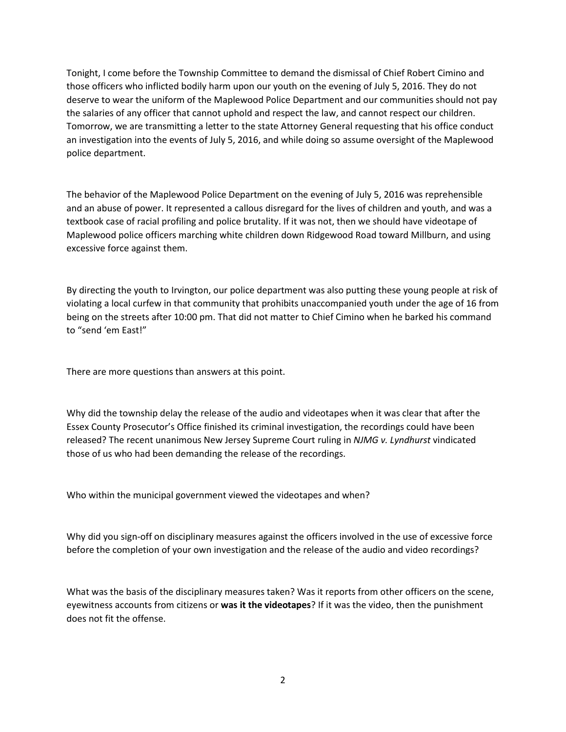Tonight, I come before the Township Committee to demand the dismissal of Chief Robert Cimino and those officers who inflicted bodily harm upon our youth on the evening of July 5, 2016. They do not deserve to wear the uniform of the Maplewood Police Department and our communities should not pay the salaries of any officer that cannot uphold and respect the law, and cannot respect our children. Tomorrow, we are transmitting a letter to the state Attorney General requesting that his office conduct an investigation into the events of July 5, 2016, and while doing so assume oversight of the Maplewood police department.

The behavior of the Maplewood Police Department on the evening of July 5, 2016 was reprehensible and an abuse of power. It represented a callous disregard for the lives of children and youth, and was a textbook case of racial profiling and police brutality. If it was not, then we should have videotape of Maplewood police officers marching white children down Ridgewood Road toward Millburn, and using excessive force against them.

By directing the youth to Irvington, our police department was also putting these young people at risk of violating a local curfew in that community that prohibits unaccompanied youth under the age of 16 from being on the streets after 10:00 pm. That did not matter to Chief Cimino when he barked his command to "send 'em East!"

There are more questions than answers at this point.

Why did the township delay the release of the audio and videotapes when it was clear that after the Essex County Prosecutor's Office finished its criminal investigation, the recordings could have been released? The recent unanimous New Jersey Supreme Court ruling in *NJMG v. Lyndhurst* vindicated those of us who had been demanding the release of the recordings.

Who within the municipal government viewed the videotapes and when?

Why did you sign-off on disciplinary measures against the officers involved in the use of excessive force before the completion of your own investigation and the release of the audio and video recordings?

What was the basis of the disciplinary measures taken? Was it reports from other officers on the scene, eyewitness accounts from citizens or **was it the videotapes**? If it was the video, then the punishment does not fit the offense.